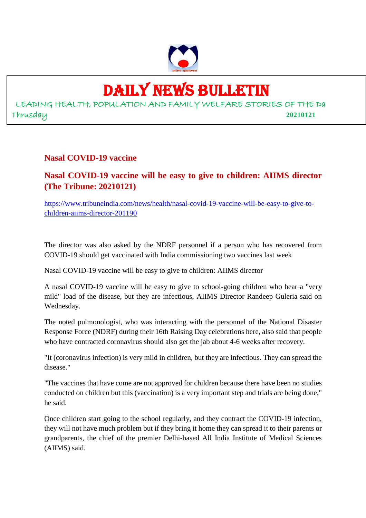

# DAILY NEWS BULLETIN

LEADING HEALTH, POPULATION AND FAMILY WELFARE STORIES OF THE Da Thrusday **20210121**

## **Nasal COVID-19 vaccine**

# **Nasal COVID-19 vaccine will be easy to give to children: AIIMS director (The Tribune: 20210121)**

https://www.tribuneindia.com/news/health/nasal-covid-19-vaccine-will-be-easy-to-give-tochildren-aiims-director-201190

The director was also asked by the NDRF personnel if a person who has recovered from COVID-19 should get vaccinated with India commissioning two vaccines last week

Nasal COVID-19 vaccine will be easy to give to children: AIIMS director

A nasal COVID-19 vaccine will be easy to give to school-going children who bear a "very mild" load of the disease, but they are infectious, AIIMS Director Randeep Guleria said on Wednesday.

The noted pulmonologist, who was interacting with the personnel of the National Disaster Response Force (NDRF) during their 16th Raising Day celebrations here, also said that people who have contracted coronavirus should also get the jab about 4-6 weeks after recovery.

"It (coronavirus infection) is very mild in children, but they are infectious. They can spread the disease."

"The vaccines that have come are not approved for children because there have been no studies conducted on children but this (vaccination) is a very important step and trials are being done," he said.

Once children start going to the school regularly, and they contract the COVID-19 infection, they will not have much problem but if they bring it home they can spread it to their parents or grandparents, the chief of the premier Delhi-based All India Institute of Medical Sciences (AIIMS) said.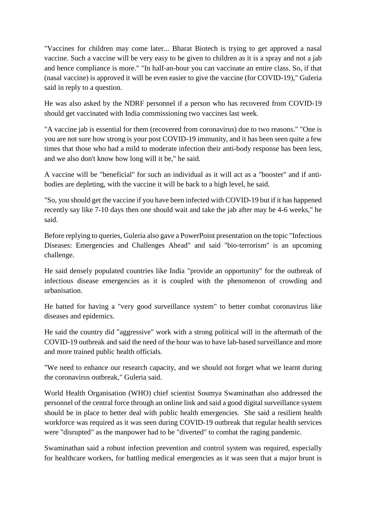"Vaccines for children may come later... Bharat Biotech is trying to get approved a nasal vaccine. Such a vaccine will be very easy to be given to children as it is a spray and not a jab and hence compliance is more." "In half-an-hour you can vaccinate an entire class. So, if that (nasal vaccine) is approved it will be even easier to give the vaccine (for COVID-19)," Guleria said in reply to a question.

He was also asked by the NDRF personnel if a person who has recovered from COVID-19 should get vaccinated with India commissioning two vaccines last week.

"A vaccine jab is essential for them (recovered from coronavirus) due to two reasons." "One is you are not sure how strong is your post COVID-19 immunity, and it has been seen quite a few times that those who had a mild to moderate infection their anti-body response has been less, and we also don't know how long will it be," he said.

A vaccine will be "beneficial" for such an individual as it will act as a "booster" and if antibodies are depleting, with the vaccine it will be back to a high level, he said.

"So, you should get the vaccine if you have been infected with COVID-19 but if it has happened recently say like 7-10 days then one should wait and take the jab after may be 4-6 weeks," he said.

Before replying to queries, Guleria also gave a PowerPoint presentation on the topic "Infectious Diseases: Emergencies and Challenges Ahead" and said "bio-terrorism" is an upcoming challenge.

He said densely populated countries like India "provide an opportunity" for the outbreak of infectious disease emergencies as it is coupled with the phenomenon of crowding and urbanisation.

He batted for having a "very good surveillance system" to better combat coronavirus like diseases and epidemics.

He said the country did "aggressive" work with a strong political will in the aftermath of the COVID-19 outbreak and said the need of the hour was to have lab-based surveillance and more and more trained public health officials.

"We need to enhance our research capacity, and we should not forget what we learnt during the coronavirus outbreak," Guleria said.

World Health Organisation (WHO) chief scientist Soumya Swaminathan also addressed the personnel of the central force through an online link and said a good digital surveillance system should be in place to better deal with public health emergencies. She said a resilient health workforce was required as it was seen during COVID-19 outbreak that regular health services were "disrupted" as the manpower had to be "diverted" to combat the raging pandemic.

Swaminathan said a robust infection prevention and control system was required, especially for healthcare workers, for battling medical emergencies as it was seen that a major brunt is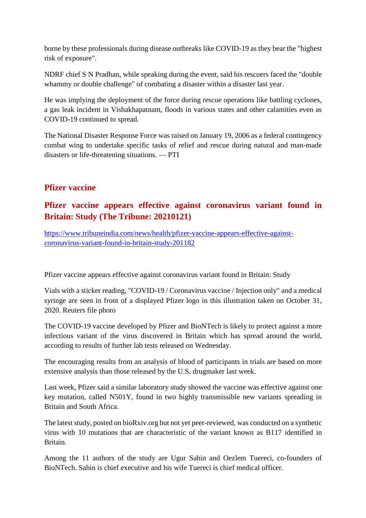borne by these professionals during disease outbreaks like COVID-19 as they bear the "highest risk of exposure".

NDRF chief S N Pradhan, while speaking during the event, said his rescuers faced the "double whammy or double challenge" of combating a disaster within a disaster last year.

He was implying the deployment of the force during rescue operations like battling cyclones, a gas leak incident in Vishakhapatnam, floods in various states and other calamities even as COVID-19 continued to spread.

The National Disaster Response Force was raised on January 19, 2006 as a federal contingency combat wing to undertake specific tasks of relief and rescue during natural and man-made disasters or life-threatening situations. — PTI

## **Pfizer vaccine**

# **Pfizer vaccine appears effective against coronavirus variant found in Britain: Study (The Tribune: 20210121)**

https://www.tribuneindia.com/news/health/pfizer-vaccine-appears-effective-againstcoronavirus-variant-found-in-britain-study-201182

Pfizer vaccine appears effective against coronavirus variant found in Britain: Study

Vials with a sticker reading, "COVID-19 / Coronavirus vaccine / Injection only" and a medical syringe are seen in front of a displayed Pfizer logo in this illustration taken on October 31, 2020. Reuters file photo

The COVID-19 vaccine developed by Pfizer and BioNTech is likely to protect against a more infectious variant of the virus discovered in Britain which has spread around the world, according to results of further lab tests released on Wednesday.

The encouraging results from an analysis of blood of participants in trials are based on more extensive analysis than those released by the U.S. drugmaker last week.

Last week, Pfizer said a similar laboratory study showed the vaccine was effective against one key mutation, called N501Y, found in two highly transmissible new variants spreading in Britain and South Africa.

The latest study, posted on bioRxiv.org but not yet peer-reviewed, was conducted on a synthetic virus with 10 mutations that are characteristic of the variant known as B117 identified in Britain.

Among the 11 authors of the study are Ugur Sahin and Oezlem Tuereci, co-founders of BioNTech. Sahin is chief executive and his wife Tuereci is chief medical officer.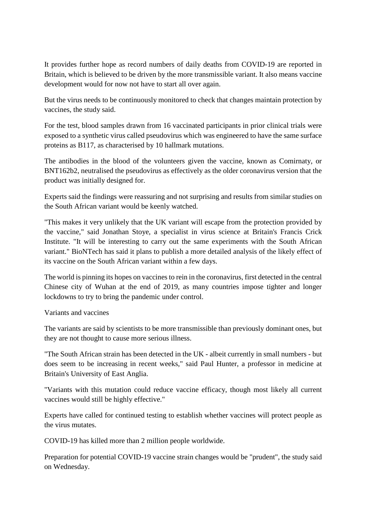It provides further hope as record numbers of daily deaths from COVID-19 are reported in Britain, which is believed to be driven by the more transmissible variant. It also means vaccine development would for now not have to start all over again.

But the virus needs to be continuously monitored to check that changes maintain protection by vaccines, the study said.

For the test, blood samples drawn from 16 vaccinated participants in prior clinical trials were exposed to a synthetic virus called pseudovirus which was engineered to have the same surface proteins as B117, as characterised by 10 hallmark mutations.

The antibodies in the blood of the volunteers given the vaccine, known as Comirnaty, or BNT162b2, neutralised the pseudovirus as effectively as the older coronavirus version that the product was initially designed for.

Experts said the findings were reassuring and not surprising and results from similar studies on the South African variant would be keenly watched.

"This makes it very unlikely that the UK variant will escape from the protection provided by the vaccine," said Jonathan Stoye, a specialist in virus science at Britain's Francis Crick Institute. "It will be interesting to carry out the same experiments with the South African variant." BioNTech has said it plans to publish a more detailed analysis of the likely effect of its vaccine on the South African variant within a few days.

The world is pinning its hopes on vaccines to rein in the coronavirus, first detected in the central Chinese city of Wuhan at the end of 2019, as many countries impose tighter and longer lockdowns to try to bring the pandemic under control.

#### Variants and vaccines

The variants are said by scientists to be more transmissible than previously dominant ones, but they are not thought to cause more serious illness.

"The South African strain has been detected in the UK - albeit currently in small numbers - but does seem to be increasing in recent weeks," said Paul Hunter, a professor in medicine at Britain's University of East Anglia.

"Variants with this mutation could reduce vaccine efficacy, though most likely all current vaccines would still be highly effective."

Experts have called for continued testing to establish whether vaccines will protect people as the virus mutates.

COVID-19 has killed more than 2 million people worldwide.

Preparation for potential COVID-19 vaccine strain changes would be "prudent", the study said on Wednesday.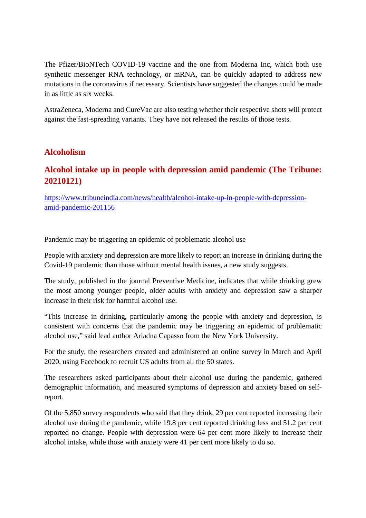The Pfizer/BioNTech COVID-19 vaccine and the one from Moderna Inc, which both use synthetic messenger RNA technology, or mRNA, can be quickly adapted to address new mutations in the coronavirus if necessary. Scientists have suggested the changes could be made in as little as six weeks.

AstraZeneca, Moderna and CureVac are also testing whether their respective shots will protect against the fast-spreading variants. They have not released the results of those tests.

## **Alcoholism**

# **Alcohol intake up in people with depression amid pandemic (The Tribune: 20210121)**

https://www.tribuneindia.com/news/health/alcohol-intake-up-in-people-with-depressionamid-pandemic-201156

Pandemic may be triggering an epidemic of problematic alcohol use

People with anxiety and depression are more likely to report an increase in drinking during the Covid-19 pandemic than those without mental health issues, a new study suggests.

The study, published in the journal Preventive Medicine, indicates that while drinking grew the most among younger people, older adults with anxiety and depression saw a sharper increase in their risk for harmful alcohol use.

"This increase in drinking, particularly among the people with anxiety and depression, is consistent with concerns that the pandemic may be triggering an epidemic of problematic alcohol use," said lead author Ariadna Capasso from the New York University.

For the study, the researchers created and administered an online survey in March and April 2020, using Facebook to recruit US adults from all the 50 states.

The researchers asked participants about their alcohol use during the pandemic, gathered demographic information, and measured symptoms of depression and anxiety based on selfreport.

Of the 5,850 survey respondents who said that they drink, 29 per cent reported increasing their alcohol use during the pandemic, while 19.8 per cent reported drinking less and 51.2 per cent reported no change. People with depression were 64 per cent more likely to increase their alcohol intake, while those with anxiety were 41 per cent more likely to do so.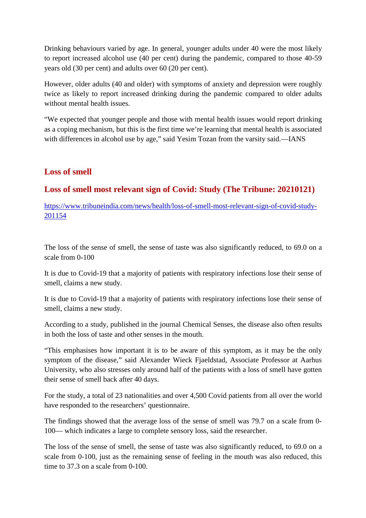Drinking behaviours varied by age. In general, younger adults under 40 were the most likely to report increased alcohol use (40 per cent) during the pandemic, compared to those 40-59 years old (30 per cent) and adults over 60 (20 per cent).

However, older adults (40 and older) with symptoms of anxiety and depression were roughly twice as likely to report increased drinking during the pandemic compared to older adults without mental health issues.

"We expected that younger people and those with mental health issues would report drinking as a coping mechanism, but this is the first time we're learning that mental health is associated with differences in alcohol use by age," said Yesim Tozan from the varsity said.—IANS

## **Loss of smell**

# **Loss of smell most relevant sign of Covid: Study (The Tribune: 20210121)**

https://www.tribuneindia.com/news/health/loss-of-smell-most-relevant-sign-of-covid-study-201154

The loss of the sense of smell, the sense of taste was also significantly reduced, to 69.0 on a scale from 0-100

It is due to Covid-19 that a majority of patients with respiratory infections lose their sense of smell, claims a new study.

It is due to Covid-19 that a majority of patients with respiratory infections lose their sense of smell, claims a new study.

According to a study, published in the journal Chemical Senses, the disease also often results in both the loss of taste and other senses in the mouth.

"This emphasises how important it is to be aware of this symptom, as it may be the only symptom of the disease," said Alexander Wieck Fjaeldstad, Associate Professor at Aarhus University, who also stresses only around half of the patients with a loss of smell have gotten their sense of smell back after 40 days.

For the study, a total of 23 nationalities and over 4,500 Covid patients from all over the world have responded to the researchers' questionnaire.

The findings showed that the average loss of the sense of smell was 79.7 on a scale from 0- 100— which indicates a large to complete sensory loss, said the researcher.

The loss of the sense of smell, the sense of taste was also significantly reduced, to 69.0 on a scale from 0-100, just as the remaining sense of feeling in the mouth was also reduced, this time to 37.3 on a scale from 0-100.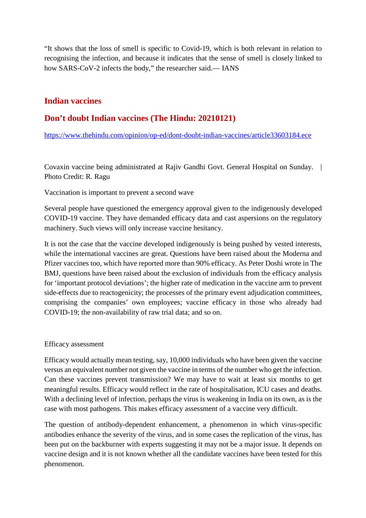"It shows that the loss of smell is specific to Covid-19, which is both relevant in relation to recognising the infection, and because it indicates that the sense of smell is closely linked to how SARS-CoV-2 infects the body," the researcher said.— IANS

#### **Indian vaccines**

#### **Don't doubt Indian vaccines (The Hindu: 20210121)**

https://www.thehindu.com/opinion/op-ed/dont-doubt-indian-vaccines/article33603184.ece

Covaxin vaccine being administrated at Rajiv Gandhi Govt. General Hospital on Sunday. | Photo Credit: R. Ragu

Vaccination is important to prevent a second wave

Several people have questioned the emergency approval given to the indigenously developed COVID-19 vaccine. They have demanded efficacy data and cast aspersions on the regulatory machinery. Such views will only increase vaccine hesitancy.

It is not the case that the vaccine developed indigenously is being pushed by vested interests, while the international vaccines are great. Questions have been raised about the Moderna and Pfizer vaccines too, which have reported more than 90% efficacy. As Peter Doshi wrote in The BMJ, questions have been raised about the exclusion of individuals from the efficacy analysis for 'important protocol deviations'; the higher rate of medication in the vaccine arm to prevent side-effects due to reactogenicity; the processes of the primary event adjudication committees, comprising the companies' own employees; vaccine efficacy in those who already had COVID-19; the non-availability of raw trial data; and so on.

#### Efficacy assessment

Efficacy would actually mean testing, say, 10,000 individuals who have been given the vaccine versus an equivalent number not given the vaccine in terms of the number who get the infection. Can these vaccines prevent transmission? We may have to wait at least six months to get meaningful results. Efficacy would reflect in the rate of hospitalisation, ICU cases and deaths. With a declining level of infection, perhaps the virus is weakening in India on its own, as is the case with most pathogens. This makes efficacy assessment of a vaccine very difficult.

The question of antibody-dependent enhancement, a phenomenon in which virus-specific antibodies enhance the severity of the virus, and in some cases the replication of the virus, has been put on the backburner with experts suggesting it may not be a major issue. It depends on vaccine design and it is not known whether all the candidate vaccines have been tested for this phenomenon.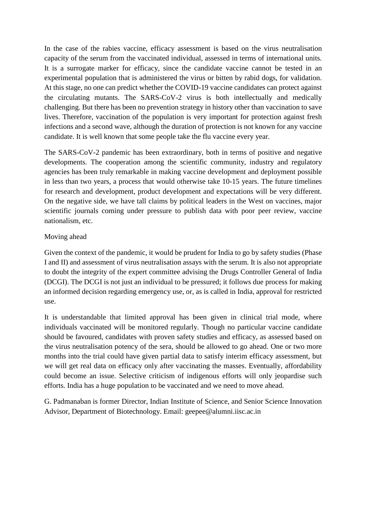In the case of the rabies vaccine, efficacy assessment is based on the virus neutralisation capacity of the serum from the vaccinated individual, assessed in terms of international units. It is a surrogate marker for efficacy, since the candidate vaccine cannot be tested in an experimental population that is administered the virus or bitten by rabid dogs, for validation. At this stage, no one can predict whether the COVID-19 vaccine candidates can protect against the circulating mutants. The SARS-CoV-2 virus is both intellectually and medically challenging. But there has been no prevention strategy in history other than vaccination to save lives. Therefore, vaccination of the population is very important for protection against fresh infections and a second wave, although the duration of protection is not known for any vaccine candidate. It is well known that some people take the flu vaccine every year.

The SARS-CoV-2 pandemic has been extraordinary, both in terms of positive and negative developments. The cooperation among the scientific community, industry and regulatory agencies has been truly remarkable in making vaccine development and deployment possible in less than two years, a process that would otherwise take 10-15 years. The future timelines for research and development, product development and expectations will be very different. On the negative side, we have tall claims by political leaders in the West on vaccines, major scientific journals coming under pressure to publish data with poor peer review, vaccine nationalism, etc.

#### Moving ahead

Given the context of the pandemic, it would be prudent for India to go by safety studies (Phase I and II) and assessment of virus neutralisation assays with the serum. It is also not appropriate to doubt the integrity of the expert committee advising the Drugs Controller General of India (DCGI). The DCGI is not just an individual to be pressured; it follows due process for making an informed decision regarding emergency use, or, as is called in India, approval for restricted use.

It is understandable that limited approval has been given in clinical trial mode, where individuals vaccinated will be monitored regularly. Though no particular vaccine candidate should be favoured, candidates with proven safety studies and efficacy, as assessed based on the virus neutralisation potency of the sera, should be allowed to go ahead. One or two more months into the trial could have given partial data to satisfy interim efficacy assessment, but we will get real data on efficacy only after vaccinating the masses. Eventually, affordability could become an issue. Selective criticism of indigenous efforts will only jeopardise such efforts. India has a huge population to be vaccinated and we need to move ahead.

G. Padmanaban is former Director, Indian Institute of Science, and Senior Science Innovation Advisor, Department of Biotechnology. Email: geepee@alumni.iisc.ac.in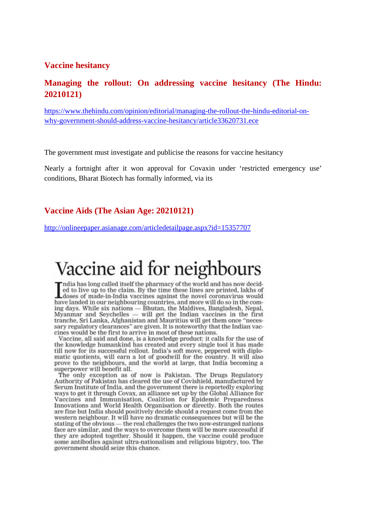#### **Vaccine hesitancy**

#### **Managing the rollout: On addressing vaccine hesitancy (The Hindu: 20210121)**

https://www.thehindu.com/opinion/editorial/managing-the-rollout-the-hindu-editorial-onwhy-government-should-address-vaccine-hesitancy/article33620731.ece

The government must investigate and publicise the reasons for vaccine hesitancy

Nearly a fortnight after it won approval for Covaxin under 'restricted emergency use' conditions, Bharat Biotech has formally informed, via its

#### **Vaccine Aids (The Asian Age: 20210121)**

http://onlineepaper.asianage.com/articledetailpage.aspx?id=15357707

# Vaccine aid for neighbours

The dia has long called itself the pharmacy of the world and has now decided to live up to the claim. By the time these lines are printed, lakhs of doses of made-in-India vaccines against the novel coronavirus would doses of made-in-India vaccines against the novel coronavirus would have landed in our neighbouring countries, and more will do so in the comhave landed in our neighbouring countries, and more win to so in the com-<br>ing days. While six nations — Bhutan, the Maldives, Bangladesh, Nepal,<br>Myanmar and Seychelles — will get the Indian vaccines in the first<br>tranche, S sary regulatory clearances" are given. It is noteworthy that the Indian vaccines would be the first to arrive in most of these nations.

Vaccine, all said and done, is a knowledge product: it calls for the use of the knowledge humankind has created and every single tool it has made till now for its successful rollout. India's soft move, peppered with diplomatic quotients, will earn a lot of goodwill for the country. It will also prove to the neighbours, and the world at large, that India becoming a superpower will benefit all.

The only exception as of now is Pakistan. The Drugs Regulatory Authority of Pakistan has cleared the use of Covishield, manufactured by Serum Institute of India, and the government there is reportedly exploring ways to get it through Covax, an alliance set up by the Global Alliance for Vaccines and Immunisation, Coalition for Epidemic Preparedness<br>Innovations and World Health Organisation or directly. Both the routes are fine but India should positively decide should a request come from the western neighbour. It will have no dramatic consequences but will be the stating of the obvious - the real challenges the two now-estranged nations face are similar, and the ways to overcome them will be more successful if they are adopted together. Should it happen, the vaccine could produce some antibodies against ultra-nationalism and religious bigotry, too. The government should seize this chance.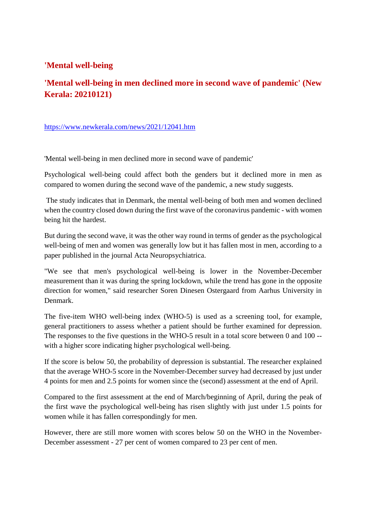#### **'Mental well-being**

# **'Mental well-being in men declined more in second wave of pandemic' (New Kerala: 20210121)**

#### https://www.newkerala.com/news/2021/12041.htm

'Mental well-being in men declined more in second wave of pandemic'

Psychological well-being could affect both the genders but it declined more in men as compared to women during the second wave of the pandemic, a new study suggests.

The study indicates that in Denmark, the mental well-being of both men and women declined when the country closed down during the first wave of the coronavirus pandemic - with women being hit the hardest.

But during the second wave, it was the other way round in terms of gender as the psychological well-being of men and women was generally low but it has fallen most in men, according to a paper published in the journal Acta Neuropsychiatrica.

"We see that men's psychological well-being is lower in the November-December measurement than it was during the spring lockdown, while the trend has gone in the opposite direction for women," said researcher Soren Dinesen Ostergaard from Aarhus University in Denmark.

The five-item WHO well-being index (WHO-5) is used as a screening tool, for example, general practitioners to assess whether a patient should be further examined for depression. The responses to the five questions in the WHO-5 result in a total score between 0 and 100 - with a higher score indicating higher psychological well-being.

If the score is below 50, the probability of depression is substantial. The researcher explained that the average WHO-5 score in the November-December survey had decreased by just under 4 points for men and 2.5 points for women since the (second) assessment at the end of April.

Compared to the first assessment at the end of March/beginning of April, during the peak of the first wave the psychological well-being has risen slightly with just under 1.5 points for women while it has fallen correspondingly for men.

However, there are still more women with scores below 50 on the WHO in the November-December assessment - 27 per cent of women compared to 23 per cent of men.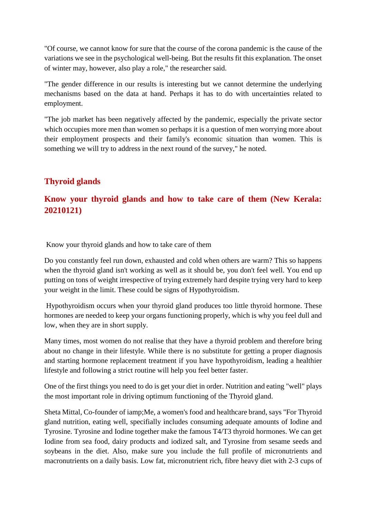"Of course, we cannot know for sure that the course of the corona pandemic is the cause of the variations we see in the psychological well-being. But the results fit this explanation. The onset of winter may, however, also play a role," the researcher said.

"The gender difference in our results is interesting but we cannot determine the underlying mechanisms based on the data at hand. Perhaps it has to do with uncertainties related to employment.

"The job market has been negatively affected by the pandemic, especially the private sector which occupies more men than women so perhaps it is a question of men worrying more about their employment prospects and their family's economic situation than women. This is something we will try to address in the next round of the survey," he noted.

## **Thyroid glands**

# **Know your thyroid glands and how to take care of them (New Kerala: 20210121)**

Know your thyroid glands and how to take care of them

Do you constantly feel run down, exhausted and cold when others are warm? This so happens when the thyroid gland isn't working as well as it should be, you don't feel well. You end up putting on tons of weight irrespective of trying extremely hard despite trying very hard to keep your weight in the limit. These could be signs of Hypothyroidism.

Hypothyroidism occurs when your thyroid gland produces too little thyroid hormone. These hormones are needed to keep your organs functioning properly, which is why you feel dull and low, when they are in short supply.

Many times, most women do not realise that they have a thyroid problem and therefore bring about no change in their lifestyle. While there is no substitute for getting a proper diagnosis and starting hormone replacement treatment if you have hypothyroidism, leading a healthier lifestyle and following a strict routine will help you feel better faster.

One of the first things you need to do is get your diet in order. Nutrition and eating "well" plays the most important role in driving optimum functioning of the Thyroid gland.

Sheta Mittal, Co-founder of iamp;Me, a women's food and healthcare brand, says "For Thyroid gland nutrition, eating well, specifially includes consuming adequate amounts of Iodine and Tyrosine. Tyrosine and Iodine together make the famous T4/T3 thyroid hormones. We can get Iodine from sea food, dairy products and iodized salt, and Tyrosine from sesame seeds and soybeans in the diet. Also, make sure you include the full profile of micronutrients and macronutrients on a daily basis. Low fat, micronutrient rich, fibre heavy diet with 2-3 cups of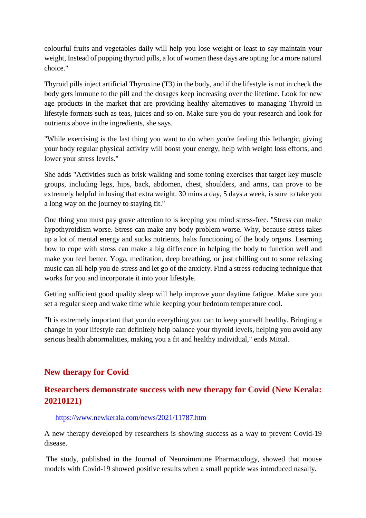colourful fruits and vegetables daily will help you lose weight or least to say maintain your weight, Instead of popping thyroid pills, a lot of women these days are opting for a more natural choice."

Thyroid pills inject artificial Thyroxine (T3) in the body, and if the lifestyle is not in check the body gets immune to the pill and the dosages keep increasing over the lifetime. Look for new age products in the market that are providing healthy alternatives to managing Thyroid in lifestyle formats such as teas, juices and so on. Make sure you do your research and look for nutrients above in the ingredients, she says.

"While exercising is the last thing you want to do when you're feeling this lethargic, giving your body regular physical activity will boost your energy, help with weight loss efforts, and lower your stress levels."

She adds "Activities such as brisk walking and some toning exercises that target key muscle groups, including legs, hips, back, abdomen, chest, shoulders, and arms, can prove to be extremely helpful in losing that extra weight. 30 mins a day, 5 days a week, is sure to take you a long way on the journey to staying fit."

One thing you must pay grave attention to is keeping you mind stress-free. "Stress can make hypothyroidism worse. Stress can make any body problem worse. Why, because stress takes up a lot of mental energy and sucks nutrients, halts functioning of the body organs. Learning how to cope with stress can make a big difference in helping the body to function well and make you feel better. Yoga, meditation, deep breathing, or just chilling out to some relaxing music can all help you de-stress and let go of the anxiety. Find a stress-reducing technique that works for you and incorporate it into your lifestyle.

Getting sufficient good quality sleep will help improve your daytime fatigue. Make sure you set a regular sleep and wake time while keeping your bedroom temperature cool.

"It is extremely important that you do everything you can to keep yourself healthy. Bringing a change in your lifestyle can definitely help balance your thyroid levels, helping you avoid any serious health abnormalities, making you a fit and healthy individual," ends Mittal.

# **New therapy for Covid**

# **Researchers demonstrate success with new therapy for Covid (New Kerala: 20210121)**

#### https://www.newkerala.com/news/2021/11787.htm

A new therapy developed by researchers is showing success as a way to prevent Covid-19 disease.

The study, published in the Journal of Neuroimmune Pharmacology, showed that mouse models with Covid-19 showed positive results when a small peptide was introduced nasally.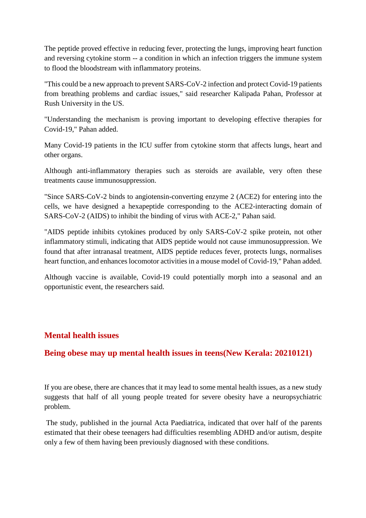The peptide proved effective in reducing fever, protecting the lungs, improving heart function and reversing cytokine storm -- a condition in which an infection triggers the immune system to flood the bloodstream with inflammatory proteins.

"This could be a new approach to prevent SARS-CoV-2 infection and protect Covid-19 patients from breathing problems and cardiac issues," said researcher Kalipada Pahan, Professor at Rush University in the US.

"Understanding the mechanism is proving important to developing effective therapies for Covid-19," Pahan added.

Many Covid-19 patients in the ICU suffer from cytokine storm that affects lungs, heart and other organs.

Although anti-inflammatory therapies such as steroids are available, very often these treatments cause immunosuppression.

"Since SARS-CoV-2 binds to angiotensin-converting enzyme 2 (ACE2) for entering into the cells, we have designed a hexapeptide corresponding to the ACE2-interacting domain of SARS-CoV-2 (AIDS) to inhibit the binding of virus with ACE-2," Pahan said.

"AIDS peptide inhibits cytokines produced by only SARS-CoV-2 spike protein, not other inflammatory stimuli, indicating that AIDS peptide would not cause immunosuppression. We found that after intranasal treatment, AIDS peptide reduces fever, protects lungs, normalises heart function, and enhances locomotor activities in a mouse model of Covid-19," Pahan added.

Although vaccine is available, Covid-19 could potentially morph into a seasonal and an opportunistic event, the researchers said.

#### **Mental health issues**

#### **Being obese may up mental health issues in teens(New Kerala: 20210121)**

If you are obese, there are chances that it may lead to some mental health issues, as a new study suggests that half of all young people treated for severe obesity have a neuropsychiatric problem.

The study, published in the journal Acta Paediatrica, indicated that over half of the parents estimated that their obese teenagers had difficulties resembling ADHD and/or autism, despite only a few of them having been previously diagnosed with these conditions.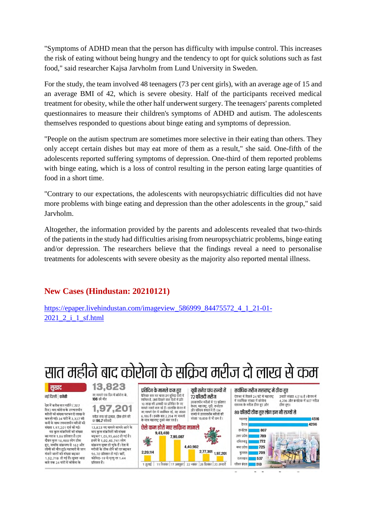"Symptoms of ADHD mean that the person has difficulty with impulse control. This increases the risk of eating without being hungry and the tendency to opt for quick solutions such as fast food," said researcher Kajsa Jarvholm from Lund University in Sweden.

For the study, the team involved 48 teenagers (73 per cent girls), with an average age of 15 and an average BMI of 42, which is severe obesity. Half of the participants received medical treatment for obesity, while the other half underwent surgery. The teenagers' parents completed questionnaires to measure their children's symptoms of ADHD and autism. The adolescents themselves responded to questions about binge eating and symptoms of depression.

"People on the autism spectrum are sometimes more selective in their eating than others. They only accept certain dishes but may eat more of them as a result," she said. One-fifth of the adolescents reported suffering symptoms of depression. One-third of them reported problems with binge eating, which is a loss of control resulting in the person eating large quantities of food in a short time.

"Contrary to our expectations, the adolescents with neuropsychiatric difficulties did not have more problems with binge eating and depression than the other adolescents in the group," said Jarvholm.

Altogether, the information provided by the parents and adolescents revealed that two-thirds of the patients in the study had difficulties arising from neuropsychiatric problems, binge eating and/or depression. The researchers believe that the findings reveal a need to personalise treatments for adolescents with severe obesity as the majority also reported mental illness.

#### **New Cases (Hindustan: 20210121)**

https://epaper.livehindustan.com/imageview\_586999\_84475572\_4\_1\_21-01-2021\_2\_i\_1\_sf.html

# सात महीने बाद कोरोना के सक्रिय मरीज दो लाख से कम

#### | सुखद

#### नई दिल्ली | एजेंसी

टेश में करीब सात महीने ( 207 दिन) बाद कोरोना के उपचाराधीन मरीज़ों की संख्या घटकर दो लाख से कम हो गई। 24 घंटों में 3,327 की कमी के साथ उपचाराधीन मरीजों की संख्या 1,97,201 दर्ज की गई। यह कुल संक्रमितों की संख्या का महज 1.86 प्रतिशत है। इस वैरान कुल 16,988 लोग ठीक हुए, जबकि संक्रमण से 162 और<br>लोगों की मौत हुई। महामारी से जान गंवाने वालों की संख्या बढकर 1,52,718 हो गई है। सुबह आठ

बजे तक 24 घंटों में कोरोना के



 $166$  की मौत

1,97,201 .<br>मरीज करा रहे इलाज, ठीक होने की दर 96.7 फीसदी

.<br>13.823 नए मामले सामने आने के बाद कुल संक्रमितों की संख्या बढ्कर 1,05,95,660 हो गई है। इनमें से 1,02,45,741 लोग ्<br>संक्रमण मुक्त हो चुके हैं। देश में<br>मरीजों के ठीक होने की दर बढ़कर ९६, ७० प्रतिशत हो गई। वहीं कोविड-19 से मृत्यु दर 1.44 प्रतिशत है।

प्रतिदिन के मामले कम हए सामरा है, जहां मेकरा सारा क्या न बारा<br>10 लाख की आबादी पर प्रतिदिन के नए<br>मामले सबसे कम रहे हैं | हालांकि केरल में<br>नए मामले देश में सर्वाधिक रहे, यह संख्या ,<br>केरल, 



1 जलाई | 11 सितंबर | 17 अक्तूबर | 22 नवंबर | 28 दिसंबर | 20 जनवरी

यपी समेत पांच राज्यों में  $72$  फीसदी मरीज उपचाराधीन मरीजों में 72 प्रतिशत .<br>महाराष्ट्र, यूपी, कर्नाटक और पश्चिम बंगाल में हैं । 34 जार पारवन वनाल न है। इस<br>राज्यों में उपचाराधीन मरीजों की संख्या 10,000 से भी कम है।

#### सर्वाधिक मरीज महाराष्ट में ठीक हए .<br>टेशभर में फिस्ले 24 घंटे में महाराष्ट उनकी संख्या ४ ६१६ है । केरल में

उनका संख्या 4,516 है । करते न<br>4,296 और कर्नाटक में 807 मरीज<br>ठीक हुए। में सर्वाधिक संख्या में कोरोना<br>वायरस के मरीज ठीक हुए और

#### 80 फीसदी ठीक हुए लोग इन नौ राज्यों से